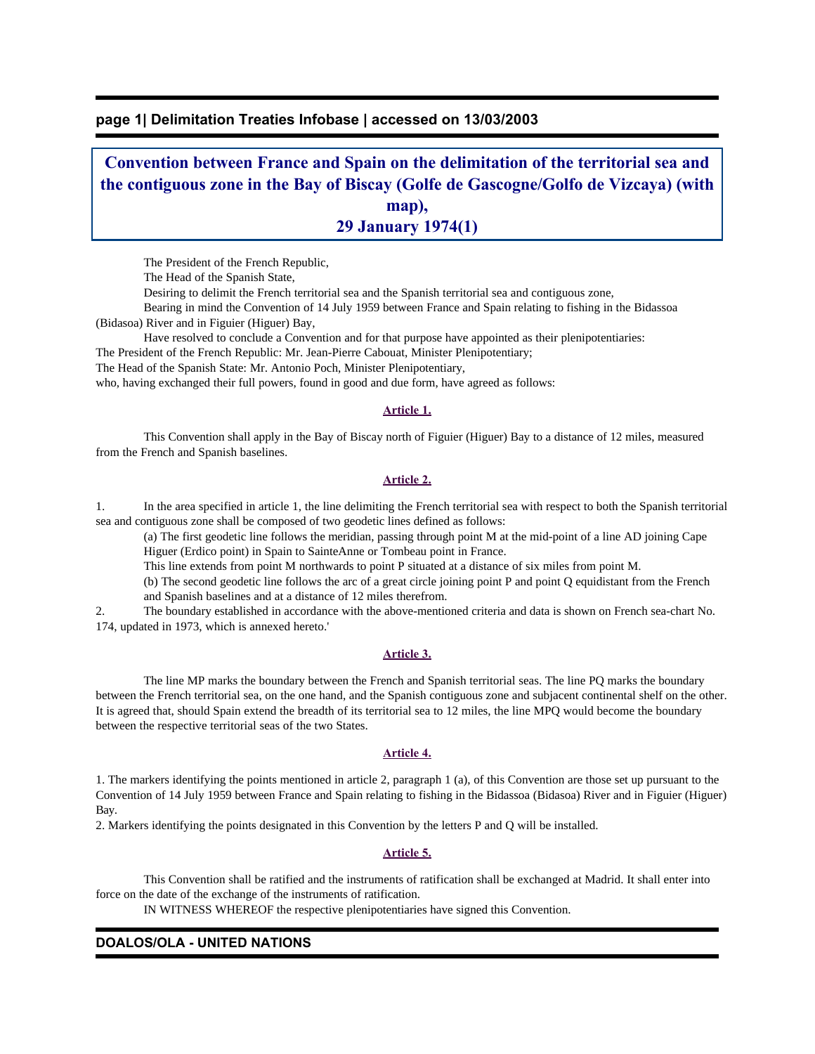## **page 1| Delimitation Treaties Infobase | accessed on 13/03/2003**

# **Convention between France and Spain on the delimitation of the territorial sea and the contiguous zone in the Bay of Biscay (Golfe de Gascogne/Golfo de Vizcaya) (with map), 29 January 1974(1)**

The President of the French Republic,

The Head of the Spanish State,

Desiring to delimit the French territorial sea and the Spanish territorial sea and contiguous zone,

 Bearing in mind the Convention of 14 July 1959 between France and Spain relating to fishing in the Bidassoa (Bidasoa) River and in Figuier (Higuer) Bay,

Have resolved to conclude a Convention and for that purpose have appointed as their plenipotentiaries:

The President of the French Republic: Mr. Jean-Pierre Cabouat, Minister Plenipotentiary;

The Head of the Spanish State: Mr. Antonio Poch, Minister Plenipotentiary,

who, having exchanged their full powers, found in good and due form, have agreed as follows:

#### **Article 1.**

 This Convention shall apply in the Bay of Biscay north of Figuier (Higuer) Bay to a distance of 12 miles, measured from the French and Spanish baselines.

### **Article 2.**

1. In the area specified in article 1, the line delimiting the French territorial sea with respect to both the Spanish territorial sea and contiguous zone shall be composed of two geodetic lines defined as follows:

(a) The first geodetic line follows the meridian, passing through point M at the mid-point of a line AD joining Cape Higuer (Erdico point) in Spain to SainteAnne or Tombeau point in France.

This line extends from point M northwards to point P situated at a distance of six miles from point M.

(b) The second geodetic line follows the arc of a great circle joining point P and point Q equidistant from the French and Spanish baselines and at a distance of 12 miles therefrom.

2. The boundary established in accordance with the above-mentioned criteria and data is shown on French sea-chart No. 174, updated in 1973, which is annexed hereto.'

#### **Article 3.**

 The line MP marks the boundary between the French and Spanish territorial seas. The line PQ marks the boundary between the French territorial sea, on the one hand, and the Spanish contiguous zone and subjacent continental shelf on the other. It is agreed that, should Spain extend the breadth of its territorial sea to 12 miles, the line MPQ would become the boundary between the respective territorial seas of the two States.

#### **Article 4.**

1. The markers identifying the points mentioned in article 2, paragraph 1 (a), of this Convention are those set up pursuant to the Convention of 14 July 1959 between France and Spain relating to fishing in the Bidassoa (Bidasoa) River and in Figuier (Higuer) Bay.

2. Markers identifying the points designated in this Convention by the letters P and Q will be installed.

### **Article 5.**

 This Convention shall be ratified and the instruments of ratification shall be exchanged at Madrid. It shall enter into force on the date of the exchange of the instruments of ratification.

IN WITNESS WHEREOF the respective plenipotentiaries have signed this Convention.

## **DOALOS/OLA - UNITED NATIONS**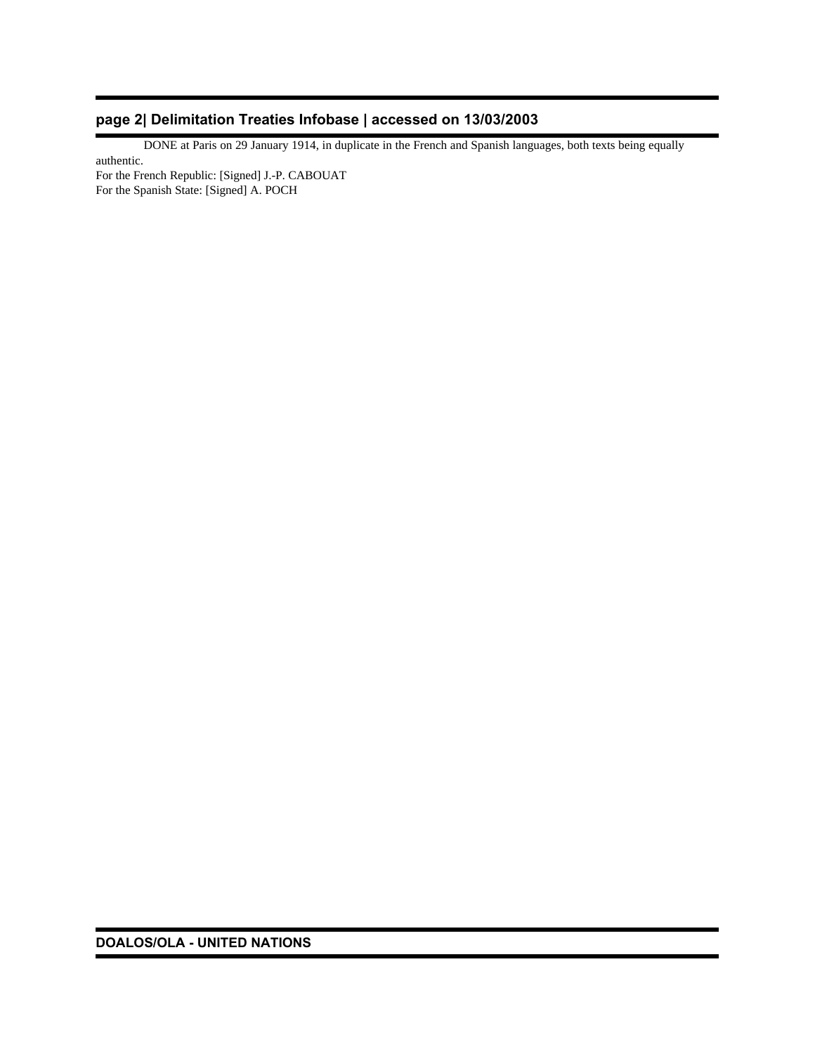# **page 2| Delimitation Treaties Infobase | accessed on 13/03/2003**

 DONE at Paris on 29 January 1914, in duplicate in the French and Spanish languages, both texts being equally authentic.

For the French Republic: [Signed] J.-P. CABOUAT For the Spanish State: [Signed] A. POCH